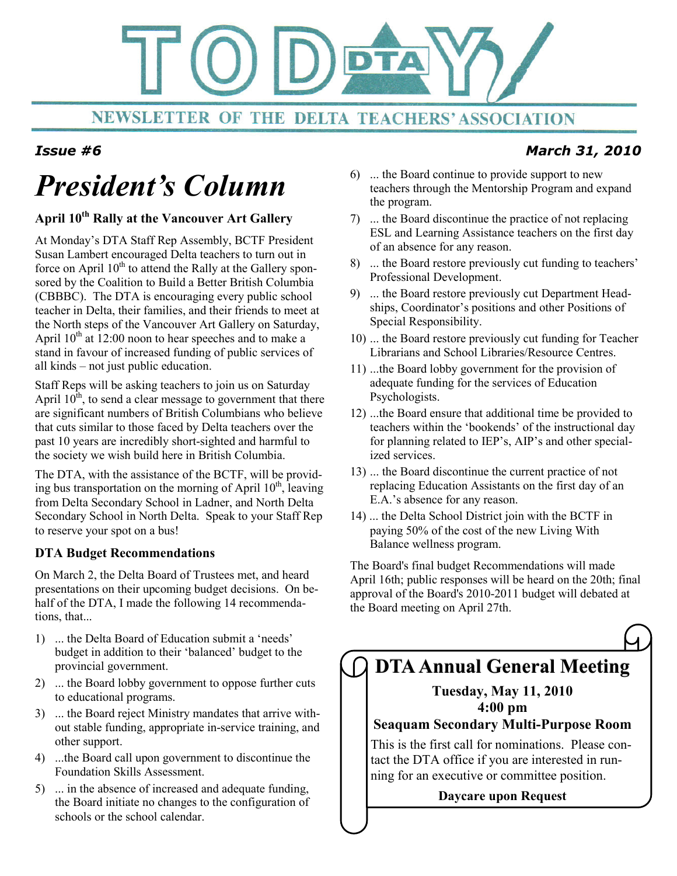

### Issue #6

# President's Column

#### April 10<sup>th</sup> Rally at the Vancouver Art Gallery

At Monday's DTA Staff Rep Assembly, BCTF President Susan Lambert encouraged Delta teachers to turn out in force on April  $10<sup>th</sup>$  to attend the Rally at the Gallery sponsored by the Coalition to Build a Better British Columbia (CBBBC). The DTA is encouraging every public school teacher in Delta, their families, and their friends to meet at the North steps of the Vancouver Art Gallery on Saturday, April  $10^{th}$  at  $12:00$  noon to hear speeches and to make a stand in favour of increased funding of public services of all kinds – not just public education.

Staff Reps will be asking teachers to join us on Saturday April  $10^{th}$ , to send a clear message to government that there are significant numbers of British Columbians who believe that cuts similar to those faced by Delta teachers over the past 10 years are incredibly short-sighted and harmful to the society we wish build here in British Columbia.

The DTA, with the assistance of the BCTF, will be providing bus transportation on the morning of April  $10^{th}$ , leaving from Delta Secondary School in Ladner, and North Delta Secondary School in North Delta. Speak to your Staff Rep to reserve your spot on a bus!

#### DTA Budget Recommendations

On March 2, the Delta Board of Trustees met, and heard presentations on their upcoming budget decisions. On behalf of the DTA, I made the following 14 recommendations, that...

- 1) ... the Delta Board of Education submit a 'needs' budget in addition to their 'balanced' budget to the provincial government.
- 2) ... the Board lobby government to oppose further cuts to educational programs.
- 3) ... the Board reject Ministry mandates that arrive without stable funding, appropriate in-service training, and other support.
- 4) ...the Board call upon government to discontinue the Foundation Skills Assessment.
- 5) ... in the absence of increased and adequate funding, the Board initiate no changes to the configuration of schools or the school calendar.
- 6) ... the Board continue to provide support to new teachers through the Mentorship Program and expand the program.
- 7) ... the Board discontinue the practice of not replacing ESL and Learning Assistance teachers on the first day of an absence for any reason.
- 8) ... the Board restore previously cut funding to teachers' Professional Development.
- 9) ... the Board restore previously cut Department Headships, Coordinator's positions and other Positions of Special Responsibility.
- 10) ... the Board restore previously cut funding for Teacher Librarians and School Libraries/Resource Centres.
- 11) ...the Board lobby government for the provision of adequate funding for the services of Education Psychologists.
- 12) ...the Board ensure that additional time be provided to teachers within the 'bookends' of the instructional day for planning related to IEP's, AIP's and other specialized services.
- 13) ... the Board discontinue the current practice of not replacing Education Assistants on the first day of an E.A.'s absence for any reason.
- 14) ... the Delta School District join with the BCTF in paying 50% of the cost of the new Living With Balance wellness program.

The Board's final budget Recommendations will made April 16th; public responses will be heard on the 20th; final approval of the Board's 2010-2011 budget will debated at the Board meeting on April 27th.

## DTA Annual General Meeting

Tuesday, May 11, 2010 4:00 pm

#### Seaquam Secondary Multi-Purpose Room

This is the first call for nominations. Please contact the DTA office if you are interested in running for an executive or committee position.

Daycare upon Request

### March 31, 2010